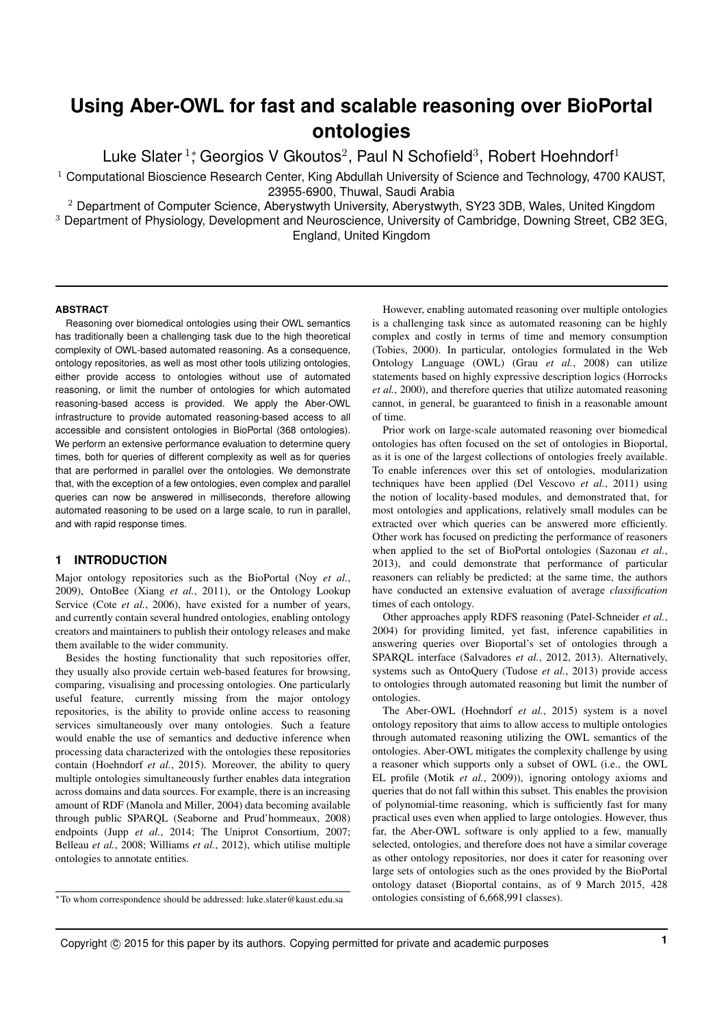## **Using Aber-OWL for fast and scalable reasoning over BioPortal ontologies**

Luke Slater<sup>1</sup>; Georgios V Gkoutos<sup>2</sup>, Paul N Schofield<sup>3</sup>, Robert Hoehndorf<sup>1</sup>

 $1$  Computational Bioscience Research Center, King Abdullah University of Science and Technology, 4700 KAUST, 23955-6900, Thuwal, Saudi Arabia

<sup>2</sup> Department of Computer Science, Aberystwyth University, Aberystwyth, SY23 3DB, Wales, United Kingdom

<sup>3</sup> Department of Physiology, Development and Neuroscience, University of Cambridge, Downing Street, CB2 3EG, England, United Kingdom

#### **ABSTRACT**

Reasoning over biomedical ontologies using their OWL semantics has traditionally been a challenging task due to the high theoretical complexity of OWL-based automated reasoning. As a consequence, ontology repositories, as well as most other tools utilizing ontologies, either provide access to ontologies without use of automated reasoning, or limit the number of ontologies for which automated reasoning-based access is provided. We apply the Aber-OWL infrastructure to provide automated reasoning-based access to all accessible and consistent ontologies in BioPortal (368 ontologies). We perform an extensive performance evaluation to determine query times, both for queries of different complexity as well as for queries that are performed in parallel over the ontologies. We demonstrate that, with the exception of a few ontologies, even complex and parallel queries can now be answered in milliseconds, therefore allowing automated reasoning to be used on a large scale, to run in parallel, and with rapid response times.

#### **1 INTRODUCTION**

Major ontology repositories such as the BioPortal (Noy *et al.*, 2009), OntoBee (Xiang *et al.*, 2011), or the Ontology Lookup Service (Cote *et al.*, 2006), have existed for a number of years, and currently contain several hundred ontologies, enabling ontology creators and maintainers to publish their ontology releases and make them available to the wider community.

Besides the hosting functionality that such repositories offer, they usually also provide certain web-based features for browsing, comparing, visualising and processing ontologies. One particularly useful feature, currently missing from the major ontology repositories, is the ability to provide online access to reasoning services simultaneously over many ontologies. Such a feature would enable the use of semantics and deductive inference when processing data characterized with the ontologies these repositories contain (Hoehndorf *et al.*, 2015). Moreover, the ability to query multiple ontologies simultaneously further enables data integration across domains and data sources. For example, there is an increasing amount of RDF (Manola and Miller, 2004) data becoming available through public SPARQL (Seaborne and Prud'hommeaux, 2008) endpoints (Jupp *et al.*, 2014; The Uniprot Consortium, 2007; Belleau *et al.*, 2008; Williams *et al.*, 2012), which utilise multiple ontologies to annotate entities.

However, enabling automated reasoning over multiple ontologies is a challenging task since as automated reasoning can be highly complex and costly in terms of time and memory consumption (Tobies, 2000). In particular, ontologies formulated in the Web Ontology Language (OWL) (Grau *et al.*, 2008) can utilize statements based on highly expressive description logics (Horrocks *et al.*, 2000), and therefore queries that utilize automated reasoning cannot, in general, be guaranteed to finish in a reasonable amount of time.

Prior work on large-scale automated reasoning over biomedical ontologies has often focused on the set of ontologies in Bioportal, as it is one of the largest collections of ontologies freely available. To enable inferences over this set of ontologies, modularization techniques have been applied (Del Vescovo *et al.*, 2011) using the notion of locality-based modules, and demonstrated that, for most ontologies and applications, relatively small modules can be extracted over which queries can be answered more efficiently. Other work has focused on predicting the performance of reasoners when applied to the set of BioPortal ontologies (Sazonau *et al.*, 2013), and could demonstrate that performance of particular reasoners can reliably be predicted; at the same time, the authors have conducted an extensive evaluation of average *classification* times of each ontology.

Other approaches apply RDFS reasoning (Patel-Schneider *et al.*, 2004) for providing limited, yet fast, inference capabilities in answering queries over Bioportal's set of ontologies through a SPARQL interface (Salvadores *et al.*, 2012, 2013). Alternatively, systems such as OntoQuery (Tudose *et al.*, 2013) provide access to ontologies through automated reasoning but limit the number of ontologies.

The Aber-OWL (Hoehndorf *et al.*, 2015) system is a novel ontology repository that aims to allow access to multiple ontologies through automated reasoning utilizing the OWL semantics of the ontologies. Aber-OWL mitigates the complexity challenge by using a reasoner which supports only a subset of OWL (i.e., the OWL EL profile (Motik *et al.*, 2009)), ignoring ontology axioms and queries that do not fall within this subset. This enables the provision of polynomial-time reasoning, which is sufficiently fast for many practical uses even when applied to large ontologies. However, thus far, the Aber-OWL software is only applied to a few, manually selected, ontologies, and therefore does not have a similar coverage as other ontology repositories, nor does it cater for reasoning over large sets of ontologies such as the ones provided by the BioPortal ontology dataset (Bioportal contains, as of 9 March 2015, 428 ontologies consisting of 6,668,991 classes).

<sup>∗</sup>To whom correspondence should be addressed: luke.slater@kaust.edu.sa

Copyright © 2015 for this paper by its authors. Copying permitted for private and academic purposes **1**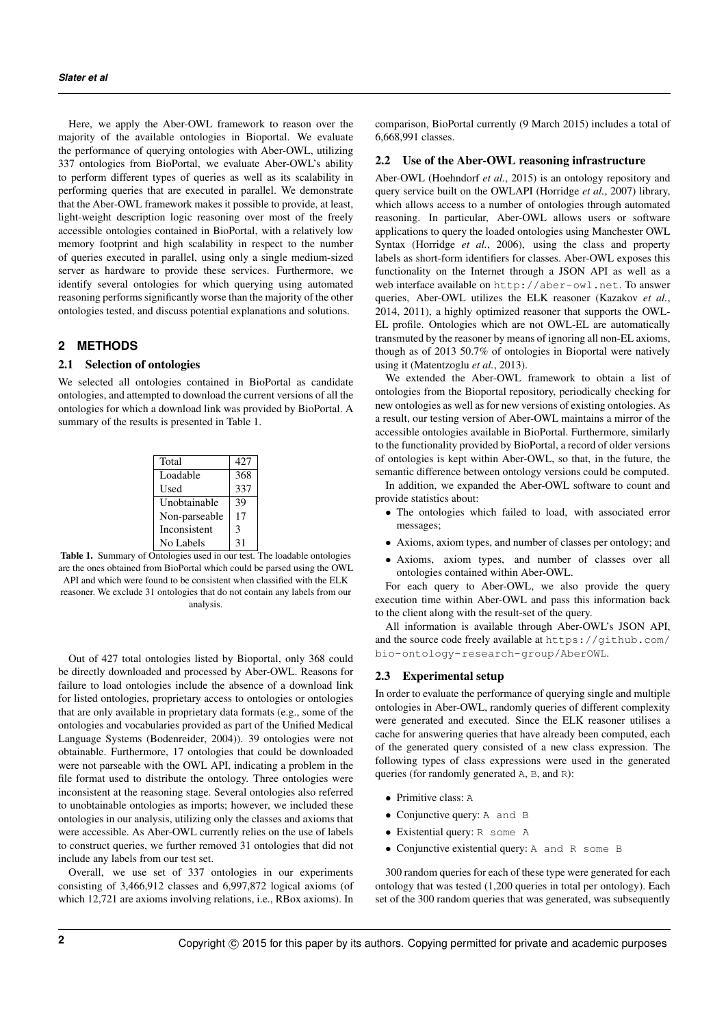Here, we apply the Aber-OWL framework to reason over the majority of the available ontologies in Bioportal. We evaluate the performance of querying ontologies with Aber-OWL, utilizing 337 ontologies from BioPortal, we evaluate Aber-OWL's ability to perform different types of queries as well as its scalability in performing queries that are executed in parallel. We demonstrate that the Aber-OWL framework makes it possible to provide, at least, light-weight description logic reasoning over most of the freely accessible ontologies contained in BioPortal, with a relatively low memory footprint and high scalability in respect to the number of queries executed in parallel, using only a single medium-sized server as hardware to provide these services. Furthermore, we identify several ontologies for which querying using automated reasoning performs significantly worse than the majority of the other ontologies tested, and discuss potential explanations and solutions.

#### **2 METHODS**

#### 2.1 Selection of ontologies

We selected all ontologies contained in BioPortal as candidate ontologies, and attempted to download the current versions of all the ontologies for which a download link was provided by BioPortal. A summary of the results is presented in Table 1.

| Total         | 427 |
|---------------|-----|
| Loadable      | 368 |
| Used          | 337 |
| Unobtainable  | 39  |
| Non-parseable | 17  |
| Inconsistent  | 3   |
| No Labels     | 31  |

Table 1. Summary of Ontologies used in our test. The loadable ontologies are the ones obtained from BioPortal which could be parsed using the OWL API and which were found to be consistent when classified with the ELK reasoner. We exclude 31 ontologies that do not contain any labels from our analysis.

Out of 427 total ontologies listed by Bioportal, only 368 could be directly downloaded and processed by Aber-OWL. Reasons for failure to load ontologies include the absence of a download link for listed ontologies, proprietary access to ontologies or ontologies that are only available in proprietary data formats (e.g., some of the ontologies and vocabularies provided as part of the Unified Medical Language Systems (Bodenreider, 2004)). 39 ontologies were not obtainable. Furthermore, 17 ontologies that could be downloaded were not parseable with the OWL API, indicating a problem in the file format used to distribute the ontology. Three ontologies were inconsistent at the reasoning stage. Several ontologies also referred to unobtainable ontologies as imports; however, we included these ontologies in our analysis, utilizing only the classes and axioms that were accessible. As Aber-OWL currently relies on the use of labels to construct queries, we further removed 31 ontologies that did not include any labels from our test set.

Overall, we use set of 337 ontologies in our experiments consisting of 3,466,912 classes and 6,997,872 logical axioms (of which 12,721 are axioms involving relations, i.e., RBox axioms). In comparison, BioPortal currently (9 March 2015) includes a total of 6,668,991 classes.

#### 2.2 Use of the Aber-OWL reasoning infrastructure

Aber-OWL (Hoehndorf *et al.*, 2015) is an ontology repository and query service built on the OWLAPI (Horridge *et al.*, 2007) library, which allows access to a number of ontologies through automated reasoning. In particular, Aber-OWL allows users or software applications to query the loaded ontologies using Manchester OWL Syntax (Horridge *et al.*, 2006), using the class and property labels as short-form identifiers for classes. Aber-OWL exposes this functionality on the Internet through a JSON API as well as a web interface available on http://aber-owl.net. To answer queries, Aber-OWL utilizes the ELK reasoner (Kazakov *et al.*, 2014, 2011), a highly optimized reasoner that supports the OWL-EL profile. Ontologies which are not OWL-EL are automatically transmuted by the reasoner by means of ignoring all non-EL axioms, though as of 2013 50.7% of ontologies in Bioportal were natively using it (Matentzoglu *et al.*, 2013).

We extended the Aber-OWL framework to obtain a list of ontologies from the Bioportal repository, periodically checking for new ontologies as well as for new versions of existing ontologies. As a result, our testing version of Aber-OWL maintains a mirror of the accessible ontologies available in BioPortal. Furthermore, similarly to the functionality provided by BioPortal, a record of older versions of ontologies is kept within Aber-OWL, so that, in the future, the semantic difference between ontology versions could be computed.

In addition, we expanded the Aber-OWL software to count and provide statistics about:

- The ontologies which failed to load, with associated error messages;
- Axioms, axiom types, and number of classes per ontology; and
- Axioms, axiom types, and number of classes over all ontologies contained within Aber-OWL.

For each query to Aber-OWL, we also provide the query execution time within Aber-OWL and pass this information back to the client along with the result-set of the query.

All information is available through Aber-OWL's JSON API, and the source code freely available at https://github.com/ bio-ontology-research-group/AberOWL.

#### 2.3 Experimental setup

In order to evaluate the performance of querying single and multiple ontologies in Aber-OWL, randomly queries of different complexity were generated and executed. Since the ELK reasoner utilises a cache for answering queries that have already been computed, each of the generated query consisted of a new class expression. The following types of class expressions were used in the generated queries (for randomly generated A, B, and R):

- Primitive class: A
- Conjunctive query: A and B
- Existential query: R some A
- Conjunctive existential query: A and R some B

300 random queries for each of these type were generated for each ontology that was tested (1,200 queries in total per ontology). Each set of the 300 random queries that was generated, was subsequently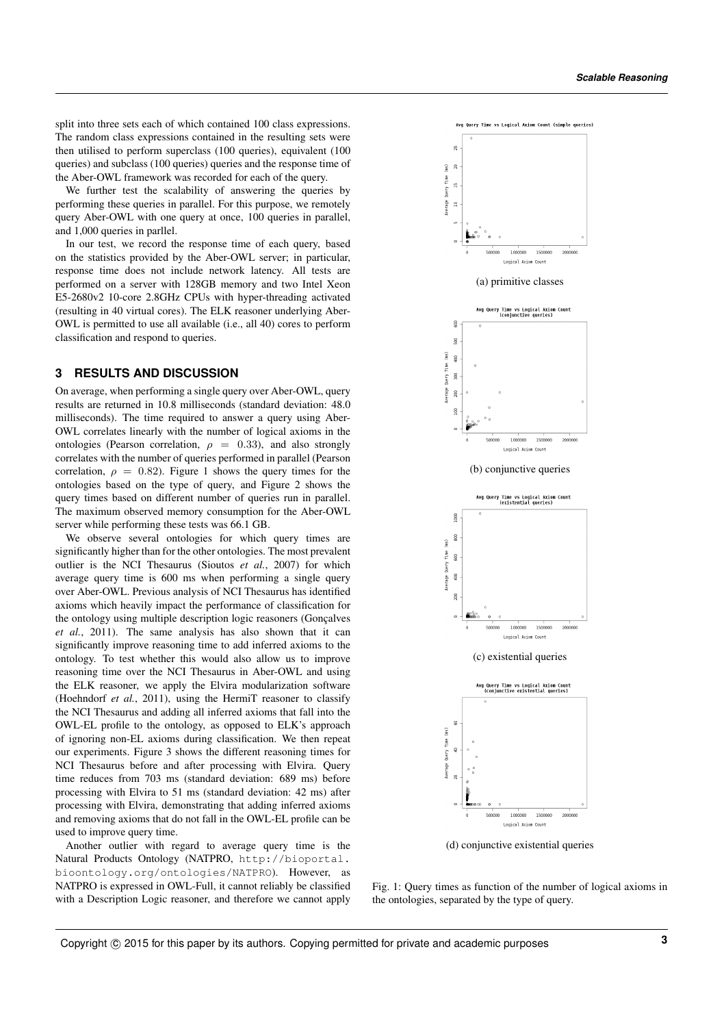split into three sets each of which contained 100 class expressions. The random class expressions contained in the resulting sets were then utilised to perform superclass (100 queries), equivalent (100 queries) and subclass (100 queries) queries and the response time of the Aber-OWL framework was recorded for each of the query.

We further test the scalability of answering the queries by performing these queries in parallel. For this purpose, we remotely query Aber-OWL with one query at once, 100 queries in parallel, and 1,000 queries in parllel.

In our test, we record the response time of each query, based on the statistics provided by the Aber-OWL server; in particular, response time does not include network latency. All tests are performed on a server with 128GB memory and two Intel Xeon E5-2680v2 10-core 2.8GHz CPUs with hyper-threading activated (resulting in 40 virtual cores). The ELK reasoner underlying Aber-OWL is permitted to use all available (i.e., all 40) cores to perform classification and respond to queries.

#### **3 RESULTS AND DISCUSSION**

On average, when performing a single query over Aber-OWL, query results are returned in 10.8 milliseconds (standard deviation: 48.0 milliseconds). The time required to answer a query using Aber-OWL correlates linearly with the number of logical axioms in the ontologies (Pearson correlation,  $\rho = 0.33$ ), and also strongly correlates with the number of queries performed in parallel (Pearson correlation,  $\rho = 0.82$ ). Figure 1 shows the query times for the ontologies based on the type of query, and Figure 2 shows the query times based on different number of queries run in parallel. The maximum observed memory consumption for the Aber-OWL server while performing these tests was 66.1 GB.

We observe several ontologies for which query times are significantly higher than for the other ontologies. The most prevalent outlier is the NCI Thesaurus (Sioutos *et al.*, 2007) for which average query time is 600 ms when performing a single query over Aber-OWL. Previous analysis of NCI Thesaurus has identified axioms which heavily impact the performance of classification for the ontology using multiple description logic reasoners (Gonçalves *et al.*, 2011). The same analysis has also shown that it can significantly improve reasoning time to add inferred axioms to the ontology. To test whether this would also allow us to improve reasoning time over the NCI Thesaurus in Aber-OWL and using the ELK reasoner, we apply the Elvira modularization software (Hoehndorf *et al.*, 2011), using the HermiT reasoner to classify the NCI Thesaurus and adding all inferred axioms that fall into the OWL-EL profile to the ontology, as opposed to ELK's approach of ignoring non-EL axioms during classification. We then repeat our experiments. Figure 3 shows the different reasoning times for NCI Thesaurus before and after processing with Elvira. Query time reduces from 703 ms (standard deviation: 689 ms) before processing with Elvira to 51 ms (standard deviation: 42 ms) after processing with Elvira, demonstrating that adding inferred axioms and removing axioms that do not fall in the OWL-EL profile can be used to improve query time.

Another outlier with regard to average query time is the Natural Products Ontology (NATPRO, http://bioportal. bioontology.org/ontologies/NATPRO). However, as NATPRO is expressed in OWL-Full, it cannot reliably be classified with a Description Logic reasoner, and therefore we cannot apply



(d) conjunctive existential queries

Fig. 1: Query times as function of the number of logical axioms in the ontologies, separated by the type of query.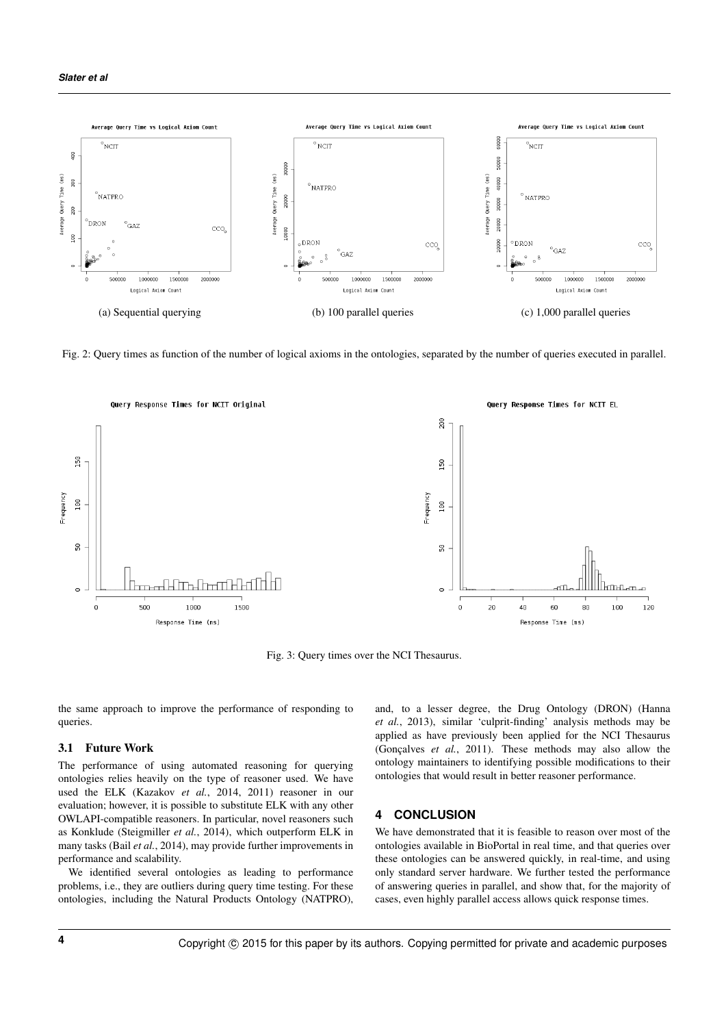

Fig. 2: Query times as function of the number of logical axioms in the ontologies, separated by the number of queries executed in parallel.



Fig. 3: Query times over the NCI Thesaurus.

the same approach to improve the performance of responding to queries.

#### 3.1 Future Work

The performance of using automated reasoning for querying ontologies relies heavily on the type of reasoner used. We have used the ELK (Kazakov *et al.*, 2014, 2011) reasoner in our evaluation; however, it is possible to substitute ELK with any other OWLAPI-compatible reasoners. In particular, novel reasoners such as Konklude (Steigmiller *et al.*, 2014), which outperform ELK in many tasks (Bail *et al.*, 2014), may provide further improvements in performance and scalability.

We identified several ontologies as leading to performance problems, i.e., they are outliers during query time testing. For these ontologies, including the Natural Products Ontology (NATPRO),

and, to a lesser degree, the Drug Ontology (DRON) (Hanna *et al.*, 2013), similar 'culprit-finding' analysis methods may be applied as have previously been applied for the NCI Thesaurus (Gonçalves *et al.*, 2011). These methods may also allow the ontology maintainers to identifying possible modifications to their ontologies that would result in better reasoner performance.

#### **4 CONCLUSION**

We have demonstrated that it is feasible to reason over most of the ontologies available in BioPortal in real time, and that queries over these ontologies can be answered quickly, in real-time, and using only standard server hardware. We further tested the performance of answering queries in parallel, and show that, for the majority of cases, even highly parallel access allows quick response times.